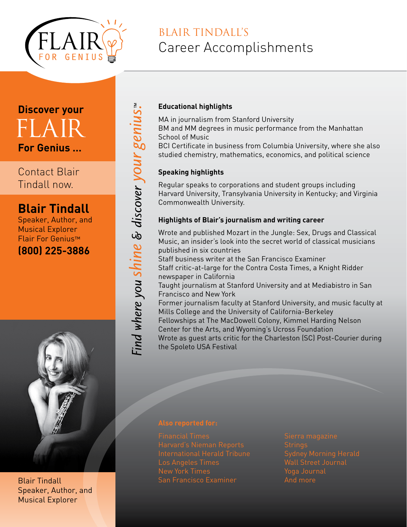

# BLAIR TINDALL'S Career Accomplishments

# **Discover your For Genius …**  FI A IRT

Contact Blair Tindall now.

## **Blair Tindall**

Speaker, Author, and Musical Explorer Flair For Genius™ **(800) 225-3886**



Blair Tindall Speaker, Author, and Musical Explorer

### **Educational highlights**

MA in journalism from Stanford University BM and MM degrees in music performance from the Manhattan School of Music BCI Certificate in business from Columbia University, where she also

studied chemistry, mathematics, economics, and political science

#### **Speaking highlights**

Find where you shine & discover your genius."

Regular speaks to corporations and student groups including Harvard University, Transylvania University in Kentucky; and Virginia Commonwealth University.

#### **Highlights of Blair's journalism and writing career**

Wrote and published Mozart in the Jungle: Sex, Drugs and Classical Music, an insider's look into the secret world of classical musicians published in six countries

Staff business writer at the San Francisco Examiner Staff critic-at-large for the Contra Costa Times, a Knight Ridder newspaper in California

Taught journalism at Stanford University and at Mediabistro in San Francisco and New York

Former journalism faculty at Stanford University, and music faculty at Mills College and the University of California-Berkeley Fellowships at The MacDowell Colony, Kimmel Harding Nelson Center for the Arts, and Wyoming's Ucross Foundation

Wrote as guest arts critic for the Charleston (SC) Post-Courier during the Spoleto USA Festival

San Francisco Examiner

Strings Wall Street Journal And more